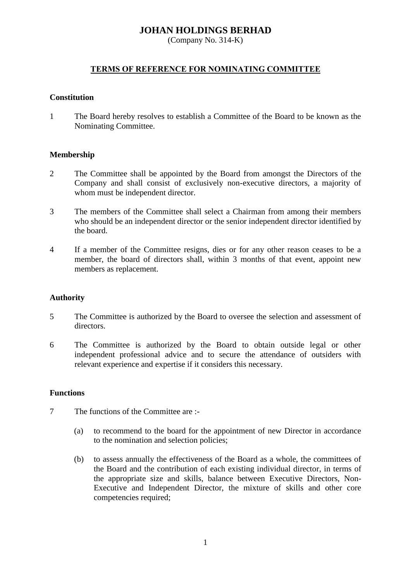# **JOHAN HOLDINGS BERHAD**

(Company No. 314-K)

# **TERMS OF REFERENCE FOR NOMINATING COMMITTEE**

## **Constitution**

1 The Board hereby resolves to establish a Committee of the Board to be known as the Nominating Committee.

## **Membership**

- 2 The Committee shall be appointed by the Board from amongst the Directors of the Company and shall consist of exclusively non-executive directors, a majority of whom must be independent director.
- 3 The members of the Committee shall select a Chairman from among their members who should be an independent director or the senior independent director identified by the board.
- 4 If a member of the Committee resigns, dies or for any other reason ceases to be a member, the board of directors shall, within 3 months of that event, appoint new members as replacement.

## **Authority**

- 5 The Committee is authorized by the Board to oversee the selection and assessment of directors.
- 6 The Committee is authorized by the Board to obtain outside legal or other independent professional advice and to secure the attendance of outsiders with relevant experience and expertise if it considers this necessary.

## **Functions**

- 7 The functions of the Committee are :-
	- (a) to recommend to the board for the appointment of new Director in accordance to the nomination and selection policies;
	- (b) to assess annually the effectiveness of the Board as a whole, the committees of the Board and the contribution of each existing individual director, in terms of the appropriate size and skills, balance between Executive Directors, Non-Executive and Independent Director, the mixture of skills and other core competencies required;